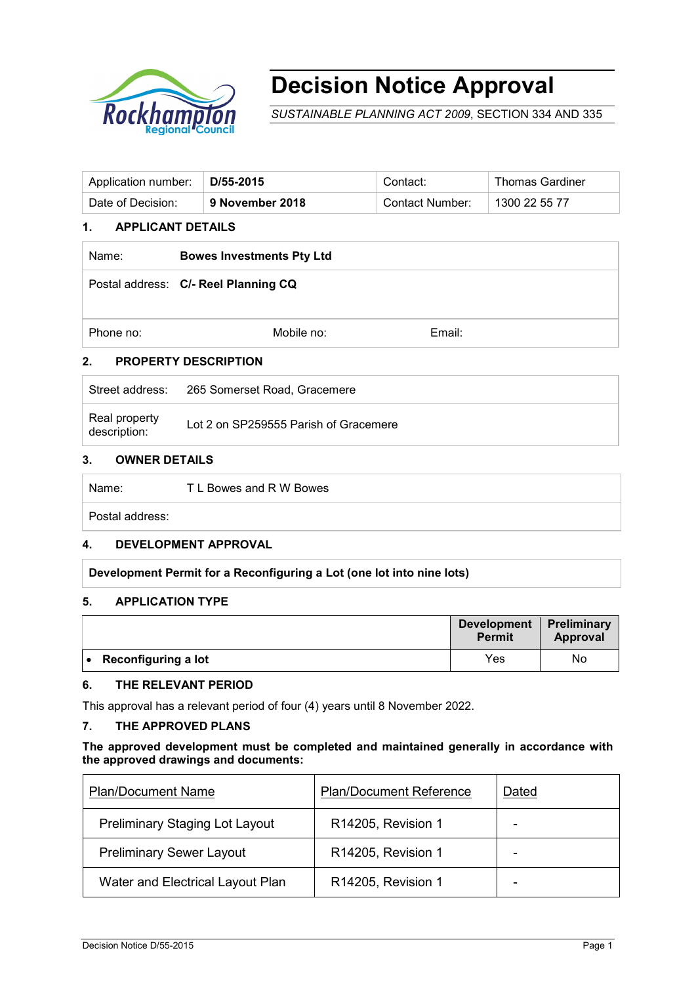

# **Decision Notice Approval**

*SUSTAINABLE PLANNING ACT 2009*, SECTION 334 AND 335

| Application number: | D/55-2015       | Contact:               | <b>Thomas Gardiner</b> |
|---------------------|-----------------|------------------------|------------------------|
| Date of Decision:   | 9 November 2018 | <b>Contact Number:</b> | 1300 22 55 77          |

# **1. APPLICANT DETAILS**

| Name:     | <b>Bowes Investments Pty Ltd</b>     |        |  |
|-----------|--------------------------------------|--------|--|
|           | Postal address: C/- Reel Planning CQ |        |  |
| Phone no: | Mobile no:                           | Email: |  |
| 2.        | <b>PROPERTY DESCRIPTION</b>          |        |  |

| Street address:               | 265 Somerset Road, Gracemere          |
|-------------------------------|---------------------------------------|
| Real property<br>description: | Lot 2 on SP259555 Parish of Gracemere |

# **3. OWNER DETAILS**

| ∣ Name: | T L Bowes and R W Bowes |  |
|---------|-------------------------|--|
|         |                         |  |

Postal address:

#### **4. DEVELOPMENT APPROVAL**

#### **Development Permit for a Reconfiguring a Lot (one lot into nine lots)**

#### **5. APPLICATION TYPE**

|                     | <b>Development</b><br><b>Permit</b> | Preliminary<br>Approval |
|---------------------|-------------------------------------|-------------------------|
| Reconfiguring a lot | Yes                                 | No                      |

# **6. THE RELEVANT PERIOD**

This approval has a relevant period of four (4) years until 8 November 2022.

# **7. THE APPROVED PLANS**

#### **The approved development must be completed and maintained generally in accordance with the approved drawings and documents:**

| <b>Plan/Document Name</b>             | <b>Plan/Document Reference</b> | Dated |
|---------------------------------------|--------------------------------|-------|
| <b>Preliminary Staging Lot Layout</b> | R14205, Revision 1             |       |
| <b>Preliminary Sewer Layout</b>       | R14205, Revision 1             |       |
| Water and Electrical Layout Plan      | R14205, Revision 1             |       |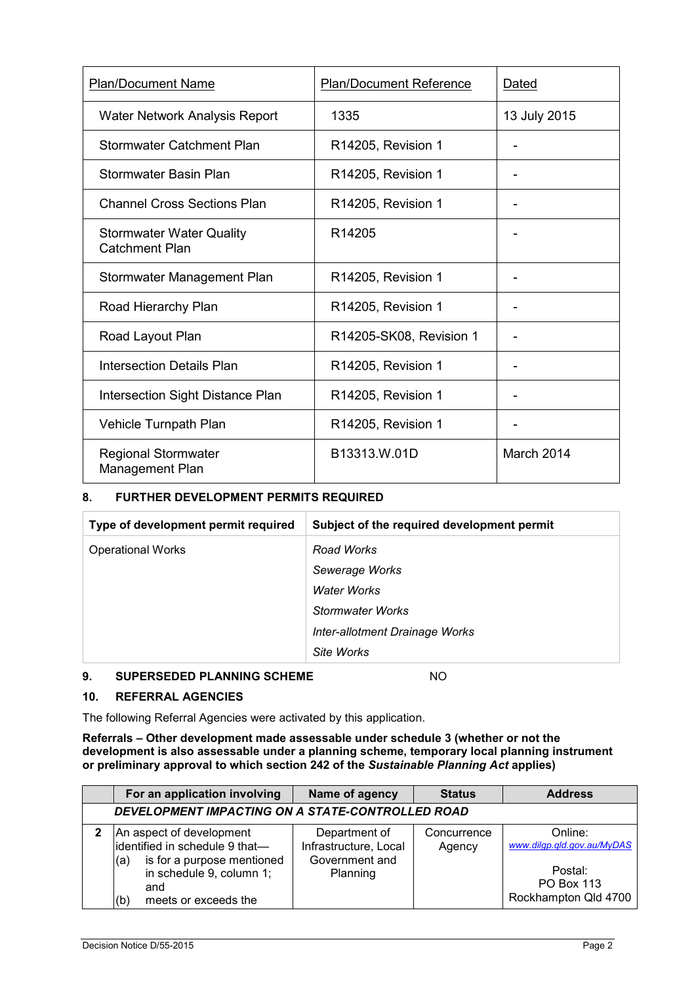| <b>Plan/Document Name</b>                                | <b>Plan/Document Reference</b> | Dated        |
|----------------------------------------------------------|--------------------------------|--------------|
| Water Network Analysis Report                            | 1335                           | 13 July 2015 |
| <b>Stormwater Catchment Plan</b>                         | R14205, Revision 1             |              |
| Stormwater Basin Plan                                    | R14205, Revision 1             |              |
| <b>Channel Cross Sections Plan</b>                       | R14205, Revision 1             |              |
| <b>Stormwater Water Quality</b><br><b>Catchment Plan</b> | R <sub>14205</sub>             |              |
| Stormwater Management Plan                               | R14205, Revision 1             |              |
| Road Hierarchy Plan                                      | R14205, Revision 1             |              |
| Road Layout Plan                                         | R14205-SK08, Revision 1        |              |
| <b>Intersection Details Plan</b>                         | R14205, Revision 1             |              |
| Intersection Sight Distance Plan                         | R14205, Revision 1             |              |
| Vehicle Turnpath Plan                                    | R14205, Revision 1             |              |
| <b>Regional Stormwater</b><br>Management Plan            | B13313.W.01D                   | March 2014   |

## **8. FURTHER DEVELOPMENT PERMITS REQUIRED**

| Type of development permit required | Subject of the required development permit |
|-------------------------------------|--------------------------------------------|
| <b>Operational Works</b>            | Road Works                                 |
|                                     | Sewerage Works                             |
|                                     | Water Works                                |
|                                     | Stormwater Works                           |
|                                     | Inter-allotment Drainage Works             |
|                                     | Site Works                                 |

## **9. SUPERSEDED PLANNING SCHEME** NO

#### **10. REFERRAL AGENCIES**

The following Referral Agencies were activated by this application.

**Referrals** *–* **Other development made assessable under schedule 3 (whether or not the development is also assessable under a planning scheme, temporary local planning instrument or preliminary approval to which section 242 of the** *Sustainable Planning Act* **applies)**

| For an application involving                                                                                                                                      | Name of agency                                                       | <b>Status</b>         | <b>Address</b>                                                                                |  |
|-------------------------------------------------------------------------------------------------------------------------------------------------------------------|----------------------------------------------------------------------|-----------------------|-----------------------------------------------------------------------------------------------|--|
| DEVELOPMENT IMPACTING ON A STATE-CONTROLLED ROAD                                                                                                                  |                                                                      |                       |                                                                                               |  |
| An aspect of development<br>identified in schedule 9 that-<br>is for a purpose mentioned<br>(a)<br>in schedule 9, column 1;<br>and<br>meets or exceeds the<br>(b) | Department of<br>Infrastructure, Local<br>Government and<br>Planning | Concurrence<br>Agency | Online:<br>www.dilgp.gld.gov.au/MyDAS<br>Postal:<br><b>PO Box 113</b><br>Rockhampton Qld 4700 |  |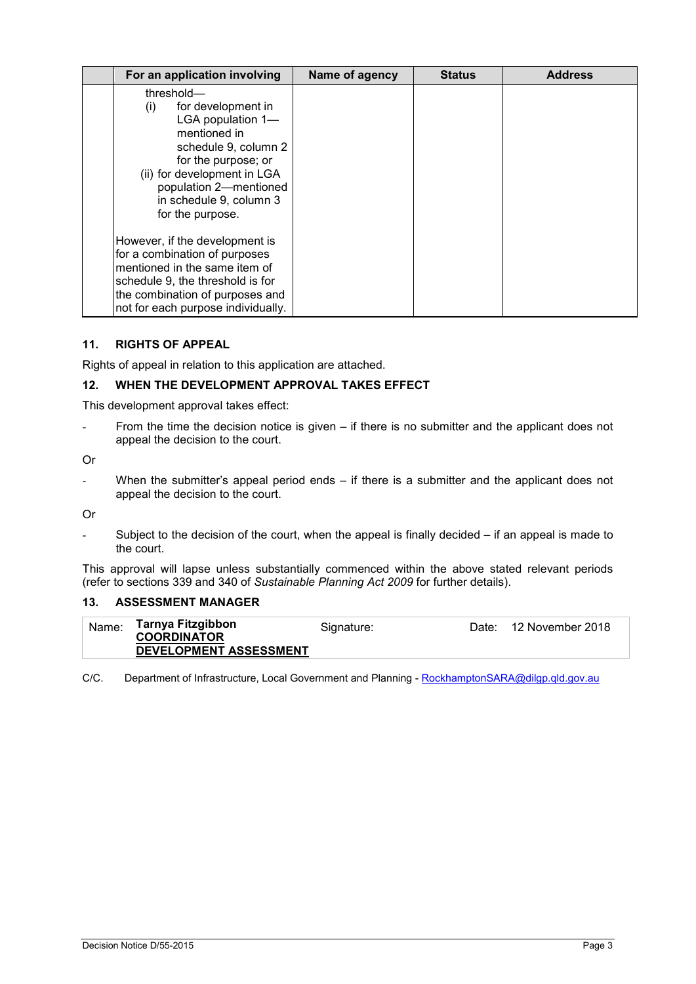| For an application involving                                                                                                                                                                                                        | Name of agency | <b>Status</b> | <b>Address</b> |
|-------------------------------------------------------------------------------------------------------------------------------------------------------------------------------------------------------------------------------------|----------------|---------------|----------------|
| threshold-<br>for development in<br>(i)<br>LGA population 1-<br>mentioned in<br>schedule 9, column 2<br>for the purpose; or<br>(ii) for development in LGA<br>population 2-mentioned<br>in schedule 9, column 3<br>for the purpose. |                |               |                |
| However, if the development is<br>for a combination of purposes<br>mentioned in the same item of<br>schedule 9, the threshold is for<br>the combination of purposes and<br>not for each purpose individually.                       |                |               |                |

#### **11. RIGHTS OF APPEAL**

Rights of appeal in relation to this application are attached.

#### **12. WHEN THE DEVELOPMENT APPROVAL TAKES EFFECT**

This development approval takes effect:

From the time the decision notice is given – if there is no submitter and the applicant does not appeal the decision to the court.

Or

When the submitter's appeal period ends  $-$  if there is a submitter and the applicant does not appeal the decision to the court.

Or

Subject to the decision of the court, when the appeal is finally decided  $-$  if an appeal is made to the court.

This approval will lapse unless substantially commenced within the above stated relevant periods (refer to sections 339 and 340 of *Sustainable Planning Act 2009* for further details).

#### **13. ASSESSMENT MANAGER**

| Name: | Tarnya Fitzgibbon<br><b>COORDINATOR</b> | Signature: | Date: 12 November 2018 |
|-------|-----------------------------------------|------------|------------------------|
|       | DEVELOPMENT ASSESSMENT                  |            |                        |

C/C. Department of Infrastructure, Local Government and Planning - [RockhamptonSARA@dilgp.qld.gov.au](mailto:RockhamptonSARA@dilgp.qld.gov.au)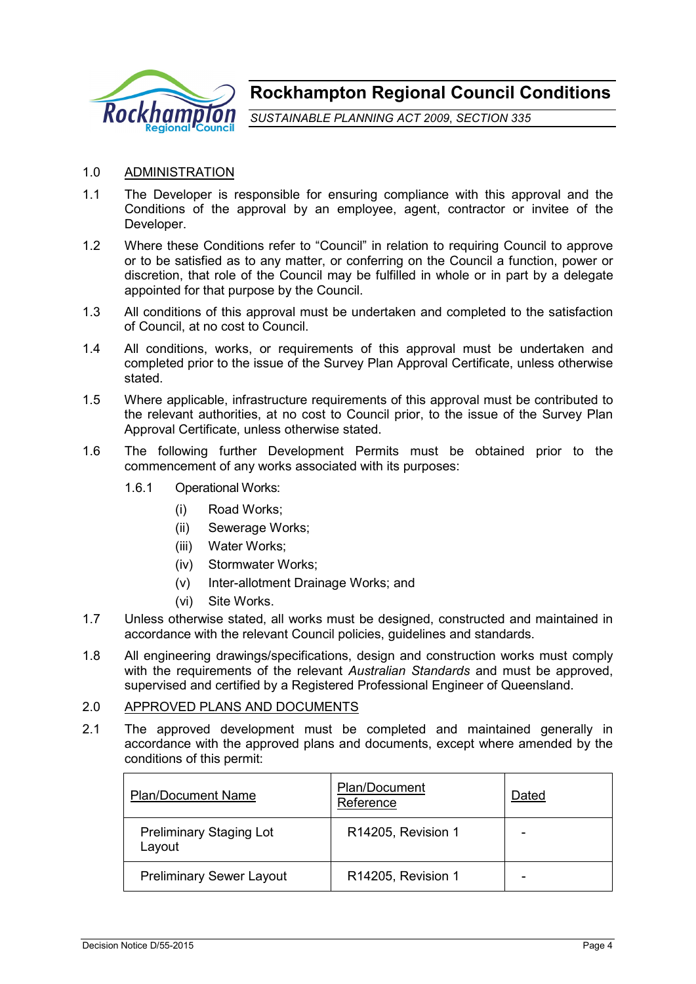

**Rockhampton Regional Council Conditions**

*SUSTAINABLE PLANNING ACT 2009*, *SECTION 335*

## 1.0 ADMINISTRATION

- 1.1 The Developer is responsible for ensuring compliance with this approval and the Conditions of the approval by an employee, agent, contractor or invitee of the Developer.
- 1.2 Where these Conditions refer to "Council" in relation to requiring Council to approve or to be satisfied as to any matter, or conferring on the Council a function, power or discretion, that role of the Council may be fulfilled in whole or in part by a delegate appointed for that purpose by the Council.
- 1.3 All conditions of this approval must be undertaken and completed to the satisfaction of Council, at no cost to Council.
- 1.4 All conditions, works, or requirements of this approval must be undertaken and completed prior to the issue of the Survey Plan Approval Certificate, unless otherwise stated.
- 1.5 Where applicable, infrastructure requirements of this approval must be contributed to the relevant authorities, at no cost to Council prior, to the issue of the Survey Plan Approval Certificate, unless otherwise stated.
- 1.6 The following further Development Permits must be obtained prior to the commencement of any works associated with its purposes:
	- 1.6.1 Operational Works:
		- (i) Road Works;
		- (ii) Sewerage Works;
		- (iii) Water Works;
		- (iv) Stormwater Works;
		- (v) Inter-allotment Drainage Works; and
		- (vi) Site Works.
- 1.7 Unless otherwise stated, all works must be designed, constructed and maintained in accordance with the relevant Council policies, guidelines and standards.
- 1.8 All engineering drawings/specifications, design and construction works must comply with the requirements of the relevant *Australian Standards* and must be approved, supervised and certified by a Registered Professional Engineer of Queensland.

#### 2.0 APPROVED PLANS AND DOCUMENTS

2.1 The approved development must be completed and maintained generally in accordance with the approved plans and documents, except where amended by the conditions of this permit:

| <b>Plan/Document Name</b>                | Plan/Document<br>Reference | Dated |
|------------------------------------------|----------------------------|-------|
| <b>Preliminary Staging Lot</b><br>Layout | R14205, Revision 1         |       |
| <b>Preliminary Sewer Layout</b>          | R14205, Revision 1         |       |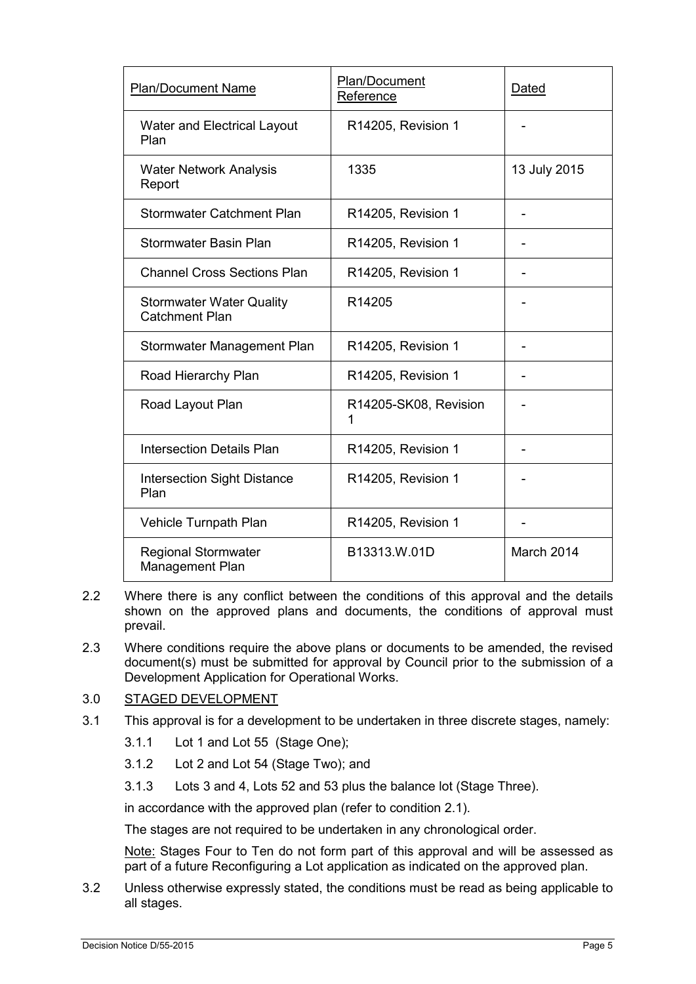| <b>Plan/Document Name</b>                                | Plan/Document<br>Reference | Dated        |
|----------------------------------------------------------|----------------------------|--------------|
| Water and Electrical Layout<br>Plan                      | R14205, Revision 1         |              |
| <b>Water Network Analysis</b><br>Report                  | 1335                       | 13 July 2015 |
| <b>Stormwater Catchment Plan</b>                         | R14205, Revision 1         |              |
| Stormwater Basin Plan                                    | R14205, Revision 1         |              |
| <b>Channel Cross Sections Plan</b>                       | R14205, Revision 1         |              |
| <b>Stormwater Water Quality</b><br><b>Catchment Plan</b> | R14205                     |              |
| Stormwater Management Plan                               | R14205, Revision 1         |              |
| Road Hierarchy Plan                                      | R14205, Revision 1         |              |
| Road Layout Plan                                         | R14205-SK08, Revision<br>1 |              |
| <b>Intersection Details Plan</b>                         | R14205, Revision 1         |              |
| <b>Intersection Sight Distance</b><br>Plan               | R14205, Revision 1         |              |
| Vehicle Turnpath Plan                                    | R14205, Revision 1         |              |
| <b>Regional Stormwater</b><br>Management Plan            | B13313.W.01D               | March 2014   |

- 2.2 Where there is any conflict between the conditions of this approval and the details shown on the approved plans and documents, the conditions of approval must prevail.
- 2.3 Where conditions require the above plans or documents to be amended, the revised document(s) must be submitted for approval by Council prior to the submission of a Development Application for Operational Works.

# 3.0 STAGED DEVELOPMENT

- 3.1 This approval is for a development to be undertaken in three discrete stages, namely:
	- 3.1.1 Lot 1 and Lot 55 (Stage One);
	- 3.1.2 Lot 2 and Lot 54 (Stage Two); and
	- 3.1.3 Lots 3 and 4, Lots 52 and 53 plus the balance lot (Stage Three).

in accordance with the approved plan (refer to condition 2.1).

The stages are not required to be undertaken in any chronological order.

Note: Stages Four to Ten do not form part of this approval and will be assessed as part of a future Reconfiguring a Lot application as indicated on the approved plan.

3.2 Unless otherwise expressly stated, the conditions must be read as being applicable to all stages.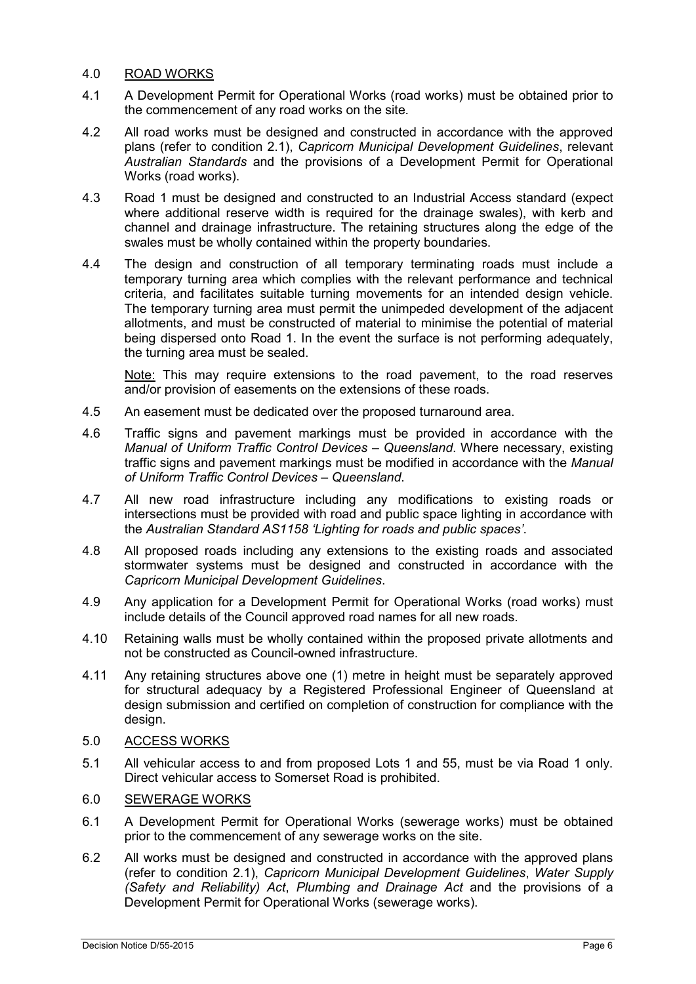# 4.0 ROAD WORKS

- 4.1 A Development Permit for Operational Works (road works) must be obtained prior to the commencement of any road works on the site.
- 4.2 All road works must be designed and constructed in accordance with the approved plans (refer to condition 2.1), *Capricorn Municipal Development Guidelines*, relevant *Australian Standards* and the provisions of a Development Permit for Operational Works (road works).
- 4.3 Road 1 must be designed and constructed to an Industrial Access standard (expect where additional reserve width is required for the drainage swales), with kerb and channel and drainage infrastructure. The retaining structures along the edge of the swales must be wholly contained within the property boundaries.
- 4.4 The design and construction of all temporary terminating roads must include a temporary turning area which complies with the relevant performance and technical criteria, and facilitates suitable turning movements for an intended design vehicle. The temporary turning area must permit the unimpeded development of the adjacent allotments, and must be constructed of material to minimise the potential of material being dispersed onto Road 1. In the event the surface is not performing adequately, the turning area must be sealed.

Note: This may require extensions to the road pavement, to the road reserves and/or provision of easements on the extensions of these roads.

- 4.5 An easement must be dedicated over the proposed turnaround area.
- 4.6 Traffic signs and pavement markings must be provided in accordance with the *Manual of Uniform Traffic Control Devices – Queensland*. Where necessary, existing traffic signs and pavement markings must be modified in accordance with the *Manual of Uniform Traffic Control Devices – Queensland*.
- 4.7 All new road infrastructure including any modifications to existing roads or intersections must be provided with road and public space lighting in accordance with the *Australian Standard AS1158 'Lighting for roads and public spaces'*.
- 4.8 All proposed roads including any extensions to the existing roads and associated stormwater systems must be designed and constructed in accordance with the *Capricorn Municipal Development Guidelines*.
- 4.9 Any application for a Development Permit for Operational Works (road works) must include details of the Council approved road names for all new roads.
- 4.10 Retaining walls must be wholly contained within the proposed private allotments and not be constructed as Council-owned infrastructure.
- 4.11 Any retaining structures above one (1) metre in height must be separately approved for structural adequacy by a Registered Professional Engineer of Queensland at design submission and certified on completion of construction for compliance with the design.

## 5.0 ACCESS WORKS

5.1 All vehicular access to and from proposed Lots 1 and 55, must be via Road 1 only. Direct vehicular access to Somerset Road is prohibited.

# 6.0 SEWERAGE WORKS

- 6.1 A Development Permit for Operational Works (sewerage works) must be obtained prior to the commencement of any sewerage works on the site.
- 6.2 All works must be designed and constructed in accordance with the approved plans (refer to condition 2.1), *Capricorn Municipal Development Guidelines*, *Water Supply (Safety and Reliability) Act*, *Plumbing and Drainage Act* and the provisions of a Development Permit for Operational Works (sewerage works).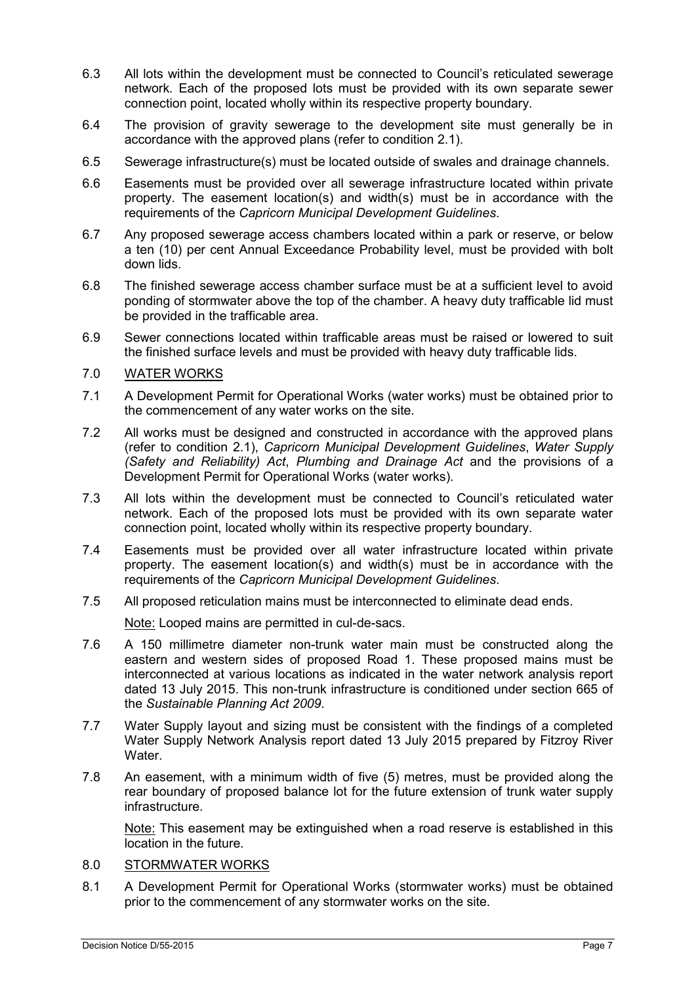- 6.3 All lots within the development must be connected to Council's reticulated sewerage network*.* Each of the proposed lots must be provided with its own separate sewer connection point, located wholly within its respective property boundary.
- 6.4 The provision of gravity sewerage to the development site must generally be in accordance with the approved plans (refer to condition 2.1).
- 6.5 Sewerage infrastructure(s) must be located outside of swales and drainage channels.
- 6.6 Easements must be provided over all sewerage infrastructure located within private property. The easement location(s) and width(s) must be in accordance with the requirements of the *Capricorn Municipal Development Guidelines*.
- 6.7 Any proposed sewerage access chambers located within a park or reserve, or below a ten (10) per cent Annual Exceedance Probability level, must be provided with bolt down lids.
- 6.8 The finished sewerage access chamber surface must be at a sufficient level to avoid ponding of stormwater above the top of the chamber. A heavy duty trafficable lid must be provided in the trafficable area.
- 6.9 Sewer connections located within trafficable areas must be raised or lowered to suit the finished surface levels and must be provided with heavy duty trafficable lids.

# 7.0 WATER WORKS

- 7.1 A Development Permit for Operational Works (water works) must be obtained prior to the commencement of any water works on the site.
- 7.2 All works must be designed and constructed in accordance with the approved plans (refer to condition 2.1), *Capricorn Municipal Development Guidelines*, *Water Supply (Safety and Reliability) Act*, *Plumbing and Drainage Act* and the provisions of a Development Permit for Operational Works (water works).
- 7.3 All lots within the development must be connected to Council's reticulated water network*.* Each of the proposed lots must be provided with its own separate water connection point, located wholly within its respective property boundary.
- 7.4 Easements must be provided over all water infrastructure located within private property. The easement location(s) and width(s) must be in accordance with the requirements of the *Capricorn Municipal Development Guidelines*.
- 7.5 All proposed reticulation mains must be interconnected to eliminate dead ends.

Note: Looped mains are permitted in cul-de-sacs.

- 7.6 A 150 millimetre diameter non-trunk water main must be constructed along the eastern and western sides of proposed Road 1. These proposed mains must be interconnected at various locations as indicated in the water network analysis report dated 13 July 2015. This non-trunk infrastructure is conditioned under section 665 of the *Sustainable Planning Act 2009*.
- 7.7 Water Supply layout and sizing must be consistent with the findings of a completed Water Supply Network Analysis report dated 13 July 2015 prepared by Fitzroy River Water.
- 7.8 An easement, with a minimum width of five (5) metres, must be provided along the rear boundary of proposed balance lot for the future extension of trunk water supply infrastructure.

Note: This easement may be extinguished when a road reserve is established in this location in the future.

# 8.0 STORMWATER WORKS

8.1 A Development Permit for Operational Works (stormwater works) must be obtained prior to the commencement of any stormwater works on the site.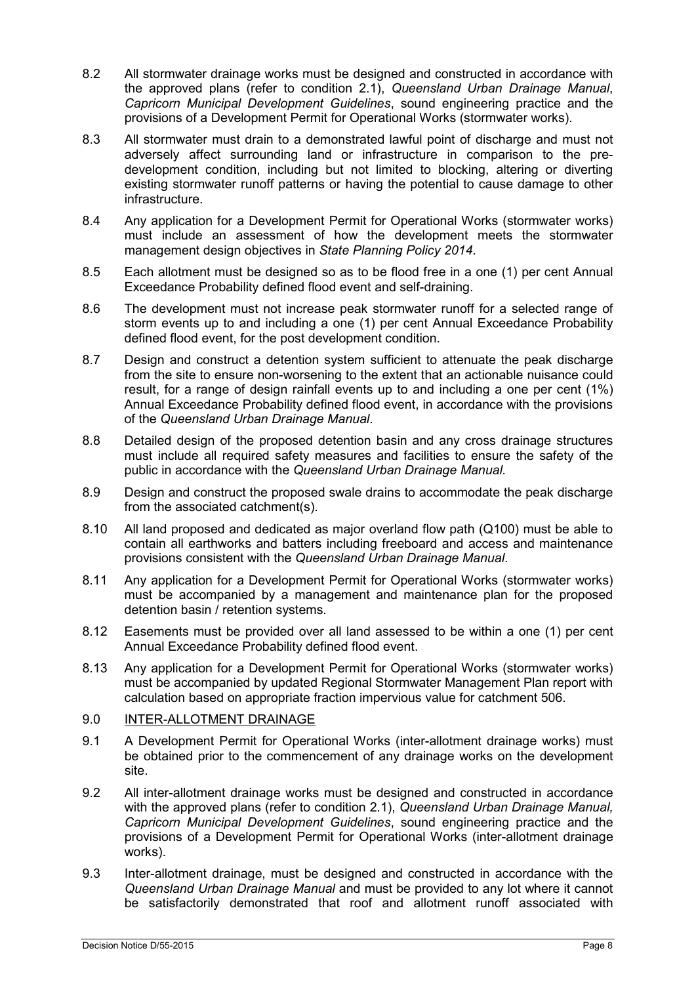- 8.2 All stormwater drainage works must be designed and constructed in accordance with the approved plans (refer to condition 2.1), *Queensland Urban Drainage Manual*, *Capricorn Municipal Development Guidelines*, sound engineering practice and the provisions of a Development Permit for Operational Works (stormwater works).
- 8.3 All stormwater must drain to a demonstrated lawful point of discharge and must not adversely affect surrounding land or infrastructure in comparison to the predevelopment condition, including but not limited to blocking, altering or diverting existing stormwater runoff patterns or having the potential to cause damage to other infrastructure.
- 8.4 Any application for a Development Permit for Operational Works (stormwater works) must include an assessment of how the development meets the stormwater management design objectives in *State Planning Policy 2014*.
- 8.5 Each allotment must be designed so as to be flood free in a one (1) per cent Annual Exceedance Probability defined flood event and self-draining.
- 8.6 The development must not increase peak stormwater runoff for a selected range of storm events up to and including a one (1) per cent Annual Exceedance Probability defined flood event, for the post development condition.
- 8.7 Design and construct a detention system sufficient to attenuate the peak discharge from the site to ensure non-worsening to the extent that an actionable nuisance could result, for a range of design rainfall events up to and including a one per cent (1%) Annual Exceedance Probability defined flood event, in accordance with the provisions of the *Queensland Urban Drainage Manual*.
- 8.8 Detailed design of the proposed detention basin and any cross drainage structures must include all required safety measures and facilities to ensure the safety of the public in accordance with the *Queensland Urban Drainage Manual.*
- 8.9 Design and construct the proposed swale drains to accommodate the peak discharge from the associated catchment(s).
- 8.10 All land proposed and dedicated as major overland flow path (Q100) must be able to contain all earthworks and batters including freeboard and access and maintenance provisions consistent with the *Queensland Urban Drainage Manual*.
- 8.11 Any application for a Development Permit for Operational Works (stormwater works) must be accompanied by a management and maintenance plan for the proposed detention basin / retention systems.
- 8.12 Easements must be provided over all land assessed to be within a one (1) per cent Annual Exceedance Probability defined flood event.
- 8.13 Any application for a Development Permit for Operational Works (stormwater works) must be accompanied by updated Regional Stormwater Management Plan report with calculation based on appropriate fraction impervious value for catchment 506.

# 9.0 INTER-ALLOTMENT DRAINAGE

- 9.1 A Development Permit for Operational Works (inter-allotment drainage works) must be obtained prior to the commencement of any drainage works on the development site.
- 9.2 All inter-allotment drainage works must be designed and constructed in accordance with the approved plans (refer to condition 2.1), *Queensland Urban Drainage Manual, Capricorn Municipal Development Guidelines*, sound engineering practice and the provisions of a Development Permit for Operational Works (inter-allotment drainage works).
- 9.3 Inter-allotment drainage, must be designed and constructed in accordance with the *Queensland Urban Drainage Manual* and must be provided to any lot where it cannot be satisfactorily demonstrated that roof and allotment runoff associated with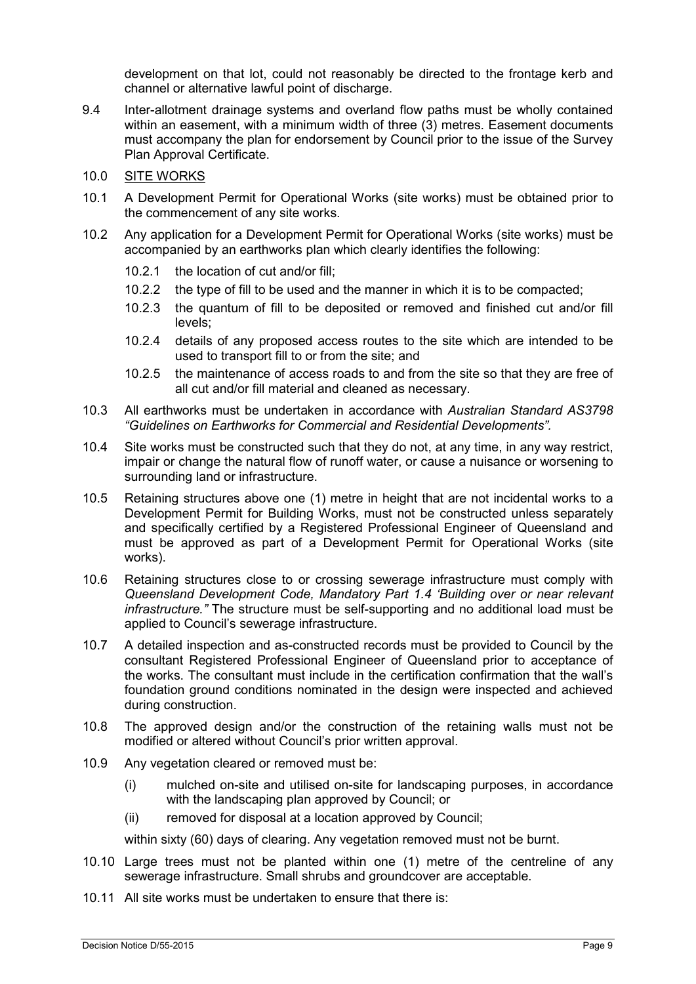development on that lot, could not reasonably be directed to the frontage kerb and channel or alternative lawful point of discharge.

- 9.4 Inter-allotment drainage systems and overland flow paths must be wholly contained within an easement, with a minimum width of three (3) metres. Easement documents must accompany the plan for endorsement by Council prior to the issue of the Survey Plan Approval Certificate.
- 10.0 SITE WORKS
- 10.1 A Development Permit for Operational Works (site works) must be obtained prior to the commencement of any site works.
- 10.2 Any application for a Development Permit for Operational Works (site works) must be accompanied by an earthworks plan which clearly identifies the following:
	- 10.2.1 the location of cut and/or fill;
	- 10.2.2 the type of fill to be used and the manner in which it is to be compacted;
	- 10.2.3 the quantum of fill to be deposited or removed and finished cut and/or fill levels;
	- 10.2.4 details of any proposed access routes to the site which are intended to be used to transport fill to or from the site; and
	- 10.2.5 the maintenance of access roads to and from the site so that they are free of all cut and/or fill material and cleaned as necessary.
- 10.3 All earthworks must be undertaken in accordance with *Australian Standard AS3798 "Guidelines on Earthworks for Commercial and Residential Developments".*
- 10.4 Site works must be constructed such that they do not, at any time, in any way restrict, impair or change the natural flow of runoff water, or cause a nuisance or worsening to surrounding land or infrastructure.
- 10.5 Retaining structures above one (1) metre in height that are not incidental works to a Development Permit for Building Works, must not be constructed unless separately and specifically certified by a Registered Professional Engineer of Queensland and must be approved as part of a Development Permit for Operational Works (site works).
- 10.6 Retaining structures close to or crossing sewerage infrastructure must comply with *Queensland Development Code, Mandatory Part 1.4 'Building over or near relevant infrastructure."* The structure must be self-supporting and no additional load must be applied to Council's sewerage infrastructure.
- 10.7 A detailed inspection and as-constructed records must be provided to Council by the consultant Registered Professional Engineer of Queensland prior to acceptance of the works. The consultant must include in the certification confirmation that the wall's foundation ground conditions nominated in the design were inspected and achieved during construction.
- 10.8 The approved design and/or the construction of the retaining walls must not be modified or altered without Council's prior written approval.
- 10.9 Any vegetation cleared or removed must be:
	- (i) mulched on-site and utilised on-site for landscaping purposes, in accordance with the landscaping plan approved by Council; or
	- (ii) removed for disposal at a location approved by Council;

within sixty (60) days of clearing. Any vegetation removed must not be burnt.

- 10.10 Large trees must not be planted within one (1) metre of the centreline of any sewerage infrastructure. Small shrubs and groundcover are acceptable.
- 10.11 All site works must be undertaken to ensure that there is: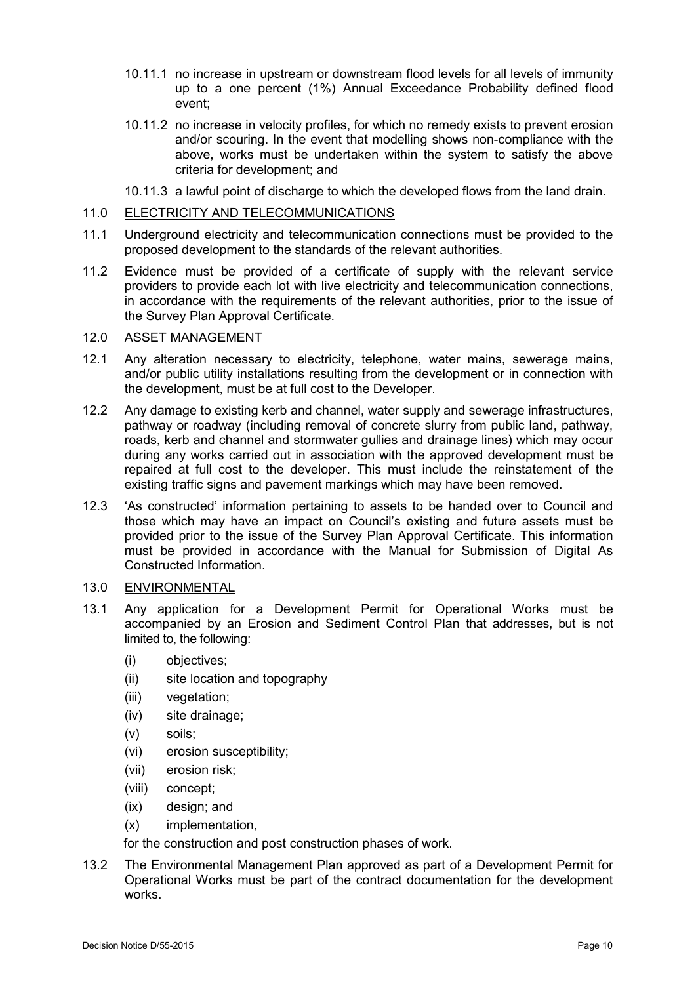- 10.11.1 no increase in upstream or downstream flood levels for all levels of immunity up to a one percent (1%) Annual Exceedance Probability defined flood event;
- 10.11.2 no increase in velocity profiles, for which no remedy exists to prevent erosion and/or scouring. In the event that modelling shows non-compliance with the above, works must be undertaken within the system to satisfy the above criteria for development; and
- 10.11.3 a lawful point of discharge to which the developed flows from the land drain.

# 11.0 ELECTRICITY AND TELECOMMUNICATIONS

- 11.1 Underground electricity and telecommunication connections must be provided to the proposed development to the standards of the relevant authorities.
- 11.2 Evidence must be provided of a certificate of supply with the relevant service providers to provide each lot with live electricity and telecommunication connections, in accordance with the requirements of the relevant authorities, prior to the issue of the Survey Plan Approval Certificate.

# 12.0 ASSET MANAGEMENT

- 12.1 Any alteration necessary to electricity, telephone, water mains, sewerage mains, and/or public utility installations resulting from the development or in connection with the development, must be at full cost to the Developer.
- 12.2 Any damage to existing kerb and channel, water supply and sewerage infrastructures, pathway or roadway (including removal of concrete slurry from public land, pathway, roads, kerb and channel and stormwater gullies and drainage lines) which may occur during any works carried out in association with the approved development must be repaired at full cost to the developer. This must include the reinstatement of the existing traffic signs and pavement markings which may have been removed.
- 12.3 'As constructed' information pertaining to assets to be handed over to Council and those which may have an impact on Council's existing and future assets must be provided prior to the issue of the Survey Plan Approval Certificate. This information must be provided in accordance with the Manual for Submission of Digital As Constructed Information.

# 13.0 ENVIRONMENTAL

- 13.1 Any application for a Development Permit for Operational Works must be accompanied by an Erosion and Sediment Control Plan that addresses, but is not limited to, the following:
	- (i) objectives;
	- (ii) site location and topography
	- (iii) vegetation;
	- (iv) site drainage;
	- (v) soils;
	- (vi) erosion susceptibility;
	- (vii) erosion risk;
	- (viii) concept;
	- (ix) design; and
	- (x) implementation,

for the construction and post construction phases of work.

13.2 The Environmental Management Plan approved as part of a Development Permit for Operational Works must be part of the contract documentation for the development works.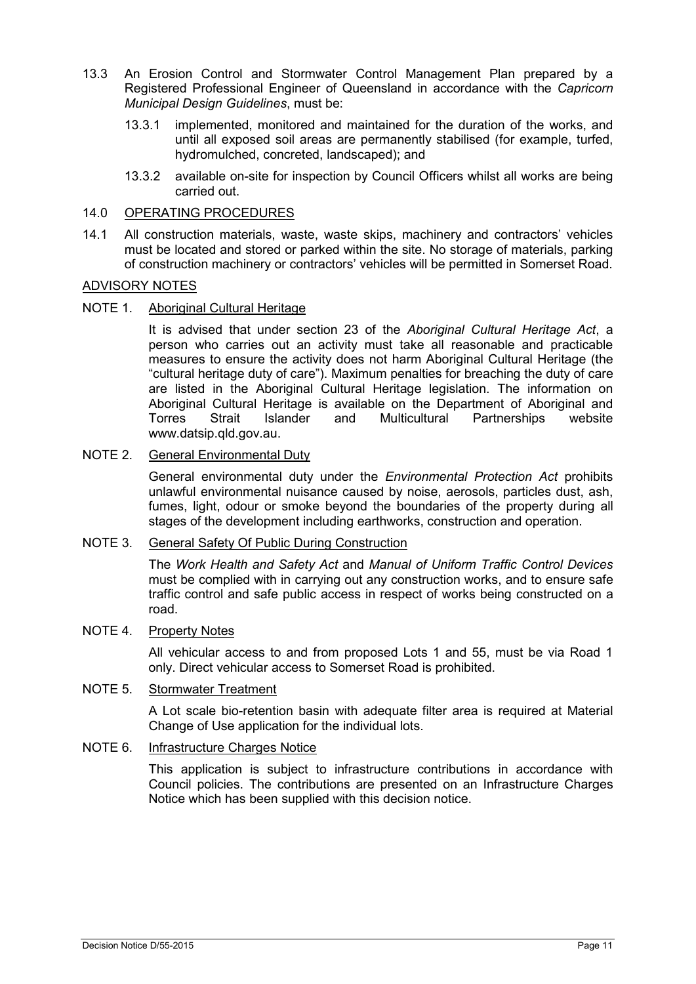- 13.3 An Erosion Control and Stormwater Control Management Plan prepared by a Registered Professional Engineer of Queensland in accordance with the *Capricorn Municipal Design Guidelines*, must be:
	- 13.3.1 implemented, monitored and maintained for the duration of the works, and until all exposed soil areas are permanently stabilised (for example, turfed, hydromulched, concreted, landscaped); and
	- 13.3.2 available on-site for inspection by Council Officers whilst all works are being carried out.

# 14.0 OPERATING PROCEDURES

14.1 All construction materials, waste, waste skips, machinery and contractors' vehicles must be located and stored or parked within the site. No storage of materials, parking of construction machinery or contractors' vehicles will be permitted in Somerset Road.

#### ADVISORY NOTES

NOTE 1. Aboriginal Cultural Heritage

It is advised that under section 23 of the *Aboriginal Cultural Heritage Act*, a person who carries out an activity must take all reasonable and practicable measures to ensure the activity does not harm Aboriginal Cultural Heritage (the "cultural heritage duty of care"). Maximum penalties for breaching the duty of care are listed in the Aboriginal Cultural Heritage legislation. The information on Aboriginal Cultural Heritage is available on the Department of Aboriginal and<br>Torres Strait Islander and Multicultural Partnerships website Partner ships www.datsip.qld.gov.au.

# NOTE 2. General Environmental Duty

General environmental duty under the *Environmental Protection Act* prohibits unlawful environmental nuisance caused by noise, aerosols, particles dust, ash, fumes, light, odour or smoke beyond the boundaries of the property during all stages of the development including earthworks, construction and operation.

## NOTE 3. General Safety Of Public During Construction

The *Work Health and Safety Act* and *Manual of Uniform Traffic Control Devices* must be complied with in carrying out any construction works, and to ensure safe traffic control and safe public access in respect of works being constructed on a road.

#### NOTE 4. Property Notes

All vehicular access to and from proposed Lots 1 and 55, must be via Road 1 only. Direct vehicular access to Somerset Road is prohibited.

# NOTE 5. Stormwater Treatment

A Lot scale bio-retention basin with adequate filter area is required at Material Change of Use application for the individual lots.

#### NOTE 6. Infrastructure Charges Notice

This application is subject to infrastructure contributions in accordance with Council policies. The contributions are presented on an Infrastructure Charges Notice which has been supplied with this decision notice.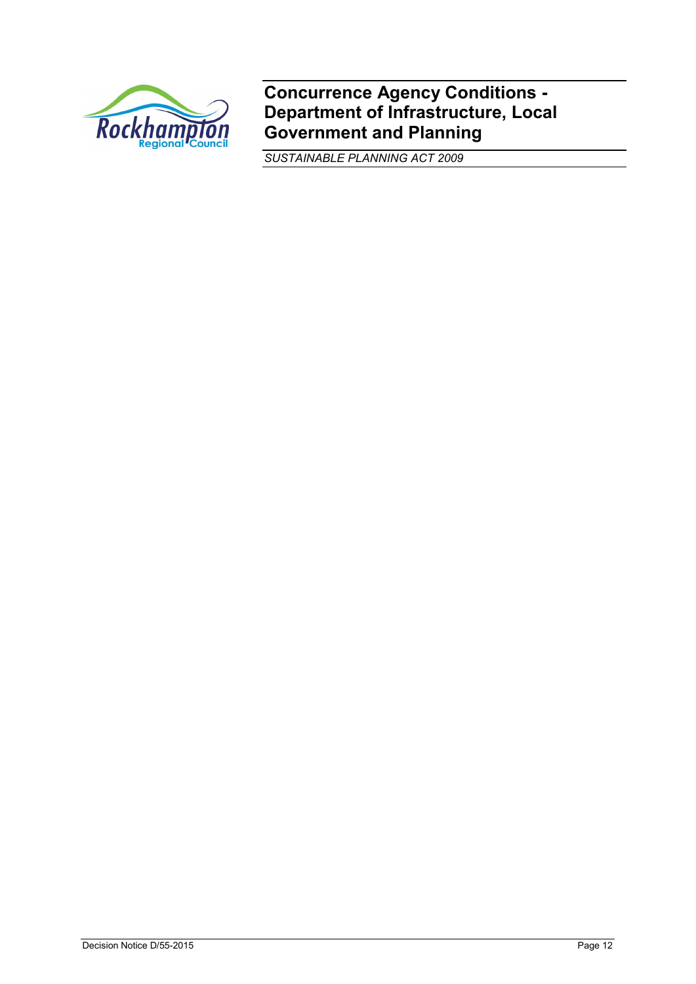

**Concurrence Agency Conditions - Department of Infrastructure, Local Government and Planning**

*SUSTAINABLE PLANNING ACT 2009*